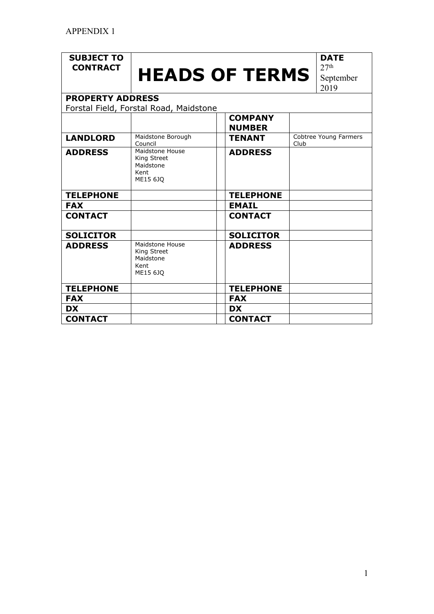## **SUBJECT TO**

## **CONTRACT HEADS OF TERMS**

**DATE**  $27<sup>th</sup>$ September

2019

**PROPERTY ADDRESS** Forstal Field, Forstal Road, Maidstone

|                  |                                                                        | <b>COMPANY</b><br><b>NUMBER</b> |                               |
|------------------|------------------------------------------------------------------------|---------------------------------|-------------------------------|
| <b>LANDLORD</b>  | Maidstone Borough<br>Council                                           | <b>TENANT</b>                   | Cobtree Young Farmers<br>Club |
| <b>ADDRESS</b>   | <b>Maidstone House</b><br>King Street<br>Maidstone<br>Kent<br>ME15 6JQ | <b>ADDRESS</b>                  |                               |
| <b>TELEPHONE</b> |                                                                        | <b>TELEPHONE</b>                |                               |
| <b>FAX</b>       |                                                                        | <b>EMAIL</b>                    |                               |
| <b>CONTACT</b>   |                                                                        | <b>CONTACT</b>                  |                               |
| <b>SOLICITOR</b> |                                                                        | <b>SOLICITOR</b>                |                               |
| <b>ADDRESS</b>   | Maidstone House<br>King Street<br>Maidstone<br>Kent<br>ME15 6JQ        | <b>ADDRESS</b>                  |                               |
| <b>TELEPHONE</b> |                                                                        | <b>TELEPHONE</b>                |                               |
| <b>FAX</b>       |                                                                        | <b>FAX</b>                      |                               |
| <b>DX</b>        |                                                                        | <b>DX</b>                       |                               |
| <b>CONTACT</b>   |                                                                        | <b>CONTACT</b>                  |                               |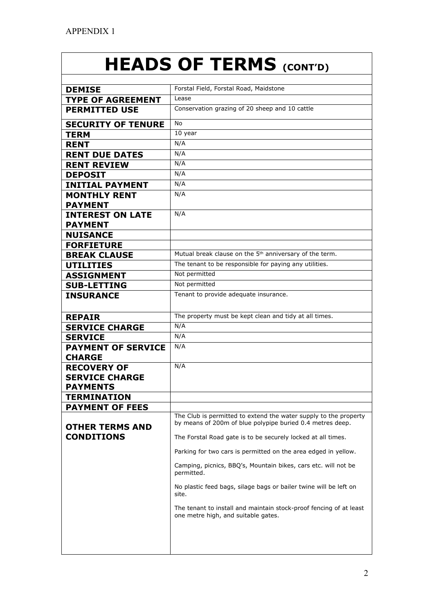## **HEADS OF TERMS (CONT'D)**

| <b>DEMISE</b>                              | Forstal Field, Forstal Road, Maidstone                                                                    |
|--------------------------------------------|-----------------------------------------------------------------------------------------------------------|
| <b>TYPE OF AGREEMENT</b>                   | Lease                                                                                                     |
| <b>PERMITTED USE</b>                       | Conservation grazing of 20 sheep and 10 cattle                                                            |
| <b>SECURITY OF TENURE</b>                  | No                                                                                                        |
| <b>TERM</b>                                | 10 year                                                                                                   |
| <b>RENT</b>                                | N/A                                                                                                       |
| <b>RENT DUE DATES</b>                      | N/A                                                                                                       |
| <b>RENT REVIEW</b>                         | N/A                                                                                                       |
| <b>DEPOSIT</b>                             | N/A                                                                                                       |
| <b>INITIAL PAYMENT</b>                     | N/A                                                                                                       |
| <b>MONTHLY RENT</b>                        | N/A                                                                                                       |
| <b>PAYMENT</b>                             |                                                                                                           |
| <b>INTEREST ON LATE</b>                    | N/A                                                                                                       |
| <b>PAYMENT</b>                             |                                                                                                           |
| <b>NUISANCE</b>                            |                                                                                                           |
| <b>FORFIETURE</b>                          |                                                                                                           |
| <b>BREAK CLAUSE</b>                        | Mutual break clause on the 5 <sup>th</sup> anniversary of the term.                                       |
| <b>UTILITIES</b>                           | The tenant to be responsible for paying any utilities.                                                    |
| <b>ASSIGNMENT</b>                          | Not permitted                                                                                             |
| <b>SUB-LETTING</b>                         | Not permitted                                                                                             |
| <b>INSURANCE</b>                           | Tenant to provide adequate insurance.                                                                     |
|                                            |                                                                                                           |
| <b>REPAIR</b>                              | The property must be kept clean and tidy at all times.                                                    |
| <b>SERVICE CHARGE</b>                      | N/A                                                                                                       |
| <b>SERVICE</b>                             | N/A                                                                                                       |
| <b>PAYMENT OF SERVICE</b><br><b>CHARGE</b> | N/A                                                                                                       |
| <b>RECOVERY OF</b>                         | N/A                                                                                                       |
| <b>SERVICE CHARGE</b>                      |                                                                                                           |
| <b>PAYMENTS</b>                            |                                                                                                           |
| TERMINATION                                |                                                                                                           |
| <b>PAYMENT OF FEES</b>                     |                                                                                                           |
|                                            | The Club is permitted to extend the water supply to the property                                          |
| <b>OTHER TERMS AND</b>                     | by means of 200m of blue polypipe buried 0.4 metres deep.                                                 |
| <b>CONDITIONS</b>                          | The Forstal Road gate is to be securely locked at all times.                                              |
|                                            | Parking for two cars is permitted on the area edged in yellow.                                            |
|                                            | Camping, picnics, BBQ's, Mountain bikes, cars etc. will not be<br>permitted.                              |
|                                            | No plastic feed bags, silage bags or bailer twine will be left on<br>site.                                |
|                                            | The tenant to install and maintain stock-proof fencing of at least<br>one metre high, and suitable gates. |
|                                            |                                                                                                           |